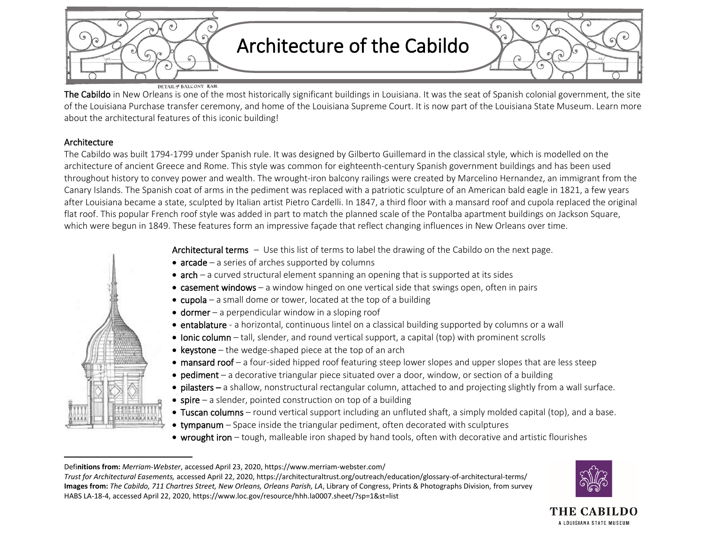

## DETAIL of BALCONY RAIL

The Cabildo in New Orleans is one of the most historically significant buildings in Louisiana. It was the seat of Spanish colonial government, the site of the Louisiana Purchase transfer ceremony, and home of the Louisiana Supreme Court. It is now part of the Louisiana State Museum. Learn more about the architectural features of this iconic building!

## Architecture

The Cabildo was built 1794-1799 under Spanish rule. It was designed by Gilberto Guillemard in the classical style, which is modelled on the architecture of ancient Greece and Rome. This style was common for eighteenth-century Spanish government buildings and has been used throughout history to convey power and wealth. The wrought-iron balcony railings were created by Marcelino Hernandez, an immigrant from the Canary Islands. The Spanish coat of arms in the pediment was replaced with a patriotic sculpture of an American bald eagle in 1821, a few years after Louisiana became a state, sculpted by Italian artist Pietro Cardelli. In 1847, a third floor with a mansard roof and cupola replaced the original flat roof. This popular French roof style was added in part to match the planned scale of the Pontalba apartment buildings on Jackson Square, which were begun in 1849. These features form an impressive façade that reflect changing influences in New Orleans over time.



Architectural terms - Use this list of terms to label the drawing of the Cabildo on the next page.

- $arcade a series of arches supported by columns$
- $\bullet$  arch a curved structural element spanning an opening that is supported at its sides
- casement windows a window hinged on one vertical side that swings open, often in pairs
- cupola a small dome or tower, located at the top of a building
- $\bullet$  dormer a perpendicular window in a sloping roof
- entablature a horizontal, continuous lintel on a classical building supported by columns or a wall
- Ionic column tall, slender, and round vertical support, a capital (top) with prominent scrolls
- keystone the wedge-shaped piece at the top of an arch
- mansard roof a four-sided hipped roof featuring steep lower slopes and upper slopes that are less steep
- pediment a decorative triangular piece situated over a door, window, or section of a building
- pilasters a shallow, nonstructural rectangular column, attached to and projecting slightly from a wall surface.
- $\bullet$  spire a slender, pointed construction on top of a building
- Tuscan columns round vertical support including an unfluted shaft, a simply molded capital (top), and a base.
- tympanum Space inside the triangular pediment, often decorated with sculptures
- wrought iron tough, malleable iron shaped by hand tools, often with decorative and artistic flourishes





Defi**nitions from:** *Merriam-Webster*, accessed April 23, 2020, https://www.merriam-webster.com/

*Trust for Architectural Easements,* accessed April 22, 2020, https://architecturaltrust.org/outreach/education/glossary-of-architectural-terms/ **Images from:** *The Cabildo, 711 Chartres Street, New Orleans, Orleans Parish, LA*, Library of Congress, Prints & Photographs Division, from survey HABS LA-18-4, accessed April 22, 2020, https://www.loc.gov/resource/hhh.la0007.sheet/?sp=1&st=list